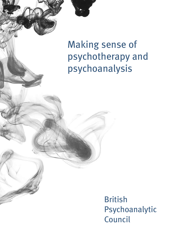Making sense of psychotherapy and psychoanalysis

> British Psychoanalytic Council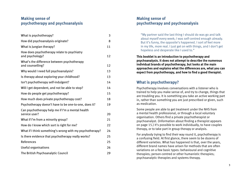## **Making sense of psychotherapy and psychoanalysis**

| What is psychotherapy?                                            | 3  |
|-------------------------------------------------------------------|----|
| How did psychoanalysis originate?                                 | 8  |
| What is Jungian therapy?                                          | 11 |
| How does psychotherapy relate to psychiatry<br>and psychology?    | 12 |
| What's the difference between psychotherapy<br>and counselling?   | 12 |
| Why would I need full psychoanalysis?                             | 13 |
| Is therapy about exploring your childhood?                        | 13 |
| Isn't psychotherapy self-indulgent?                               | 14 |
| Will I get dependent, and not be able to stop?                    | 14 |
| How do people get psychotherapy?                                  | 15 |
| How much does private psychotherapy cost?                         | 18 |
| Psychotherapy doesn't have to be one-to-one, does it?             | 19 |
| Can psychotherapy help me if I'm a mental health<br>service user? | 20 |
| What if I'm from a minority group?                                | 21 |
| How do I know which sort is right for me?                         | 22 |
| What if I think something's wrong with my psychotherapy?          | 24 |
| Is there evidence that psychotherapy really works?                | 25 |
| References                                                        | 25 |
| Useful organisations                                              | 26 |
| The British Psychoanalytic Council                                | 29 |

### **Making sense of psychotherapy and psychoanalysis**

"My partner said the last thing I should do was go and talk about myself every week; I was self-centred enough already. But it's funny, the opposite's happened. I sort of feel more in my life, more real. I just get on with things, and I don't get hopeless and desperate like I used to."

**This booklet is an introduction to psychotherapy and psychoanalysis. It does not attempt to describe the numerous individual brands of psychotherapy, but looks at the main approaches and explains what the differences are, what you can expect from psychotherapy, and how to find a good therapist.**

# **What is psychotherapy?**

Psychotherapy involves conversations with a listener who is trained to help you make sense of, and try to change, things that are troubling you. It is something you take an active working part in, rather than something you are just prescribed or given, such as medication.

Some people are able to get treatment under the NHS from a mental health professional, or through a local voluntary organisation. Others find a private psychotherapist or psychoanalyst. (Information about finding a therapist appears on page 15.) It's possible to work individually, to have couples therapy, or to take part in group therapy or analysis.

For anybody trying to find their way round it, psychotherapy is a confusing field. At first glance, there seem to be dozens of different varieties. What has happened is that, over the years, different brand names have arisen for methods that are often variations on a few basic types: behavioural and cognitive therapies; person-centred or other humanistic therapies; psychoanalytic therapies and systems therapy.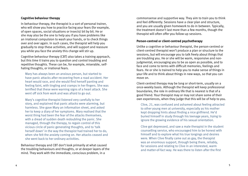#### **Cognitive behaviour therapy**

In behaviour therapy, the therapist is a sort of personal trainer, who will show you how to practice facing your fears (for example, of open spaces, social situations or insects) bit by bit. He or she may also be the one to help you if you have problems like an irrational compulsion to wash your hands, or to check things over and over again. In such cases, the therapist will help you gradually to stop these activities, and will support and reassure you while you face the anxiety this change will stir up.

Cognitive behaviour therapy (CBT) also takes a training approach, but this time it trains you to question and control troubling and repetitive thoughts. These can be, for example, miserable, selfhating thoughts, or irrational fears.

Mary has always been an anxious person, but started to have panic attacks after recovering from a road accident. Her heart would race, and she would find herself panting and feeling faint, with tingling and cramps in her fingers. She was terrified that these were warning signs of a heart attack. She went off sick from work and was afraid to go out.

Mary's cognitive therapist listened very carefully to her story, and explained that panic attacks were alarming, but harmless. She gave Mary an information sheet, and asked her to keep a diary of her symptoms. Mary realised that the worst thing had been the fear of the attacks themselves, with a dread of sudden death redoubling the panic. She managed, through the therapy, to regain control of this vicious circle of panic-generating thoughts, and to 'talk herself down' in the way the therapist had trained her to do, when she felt the anxiety coming on. Her attacks ceased and she went back to her ordinary activities.

Behaviour therapy and CBT don't look primarily at what caused the troubling behaviours and thoughts, or at deeper layers of the mind. They work with the immediate, conscious problem, in a

commonsense and supportive way. They aim to train you to think and feel differently. Sessions have a clear plan and structure, and you are usually given homework to do in between. Typically, the treatment doesn't last more than a few months, though the therapist will often offer you follow-up sessions.

#### **Person-centred or client-centred psychotherapy**

Unlike a cognitive or behaviour therapist, the person-centred or client-centred therapist won't produce a plan or structure to the sessions, but will encourage you to talk freely about things that are troubling you. He or she will be warm, responsive and nonjudgmental, encouraging you to be as open as possible, and to face and come to terms with difficult memories, feelings and fears. He or she is trained to help you to make sense of things in your life and to think about things in new ways, so that you can move on.

Client-centred therapy may be long or short-term, usually on a once-weekly basis. Although the therapist will keep professional boundaries, the role in ordinary life that is nearest is that of a good friend. Your therapist may or may not share some of their own experiences, when they judge that this will be of help to you.

Clive, 21, was confused and ashamed about feeling attracted to other young men at university, especially as his mother kept dropping hints about finding a nice girlfriend. He'd buried himself in study through his teenage years, trying to ignore the growing evidence of his sexual orientation.

Clive got depressed, and saw a male therapist in the student counselling service, who encouraged him to be honest with himself and to explore what his true longings and desires were. When Clive finally came out as gay, the therapist was an enormous support, through being there, reliably, for sessions and relating to Clive in an interested, warm and matter-of-fact way. He was there to listen after the first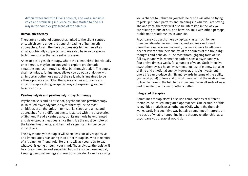difficult weekend with Clive's parents, and was a sensible voice and stabilising influence as Clive started to find his way in the complex gay scene of the campus.

#### **Humanistic therapy**

There are a number of approaches linked to the client-centred one, which come under the general heading of humanistic approaches. Again, the therapist presents him or herself as an ally, or friendly supporter, and may also have some special technique to offer that aids self-expression.

An example is gestalt therapy, where the client, either individually or in a group, may be encouraged to explore problematic situations not just through talking, but through action. The empty chair technique, for instance, allows you try out a dialogue with an important other, or a part of the self, who is imagined to be sitting opposite you. Other therapies such as art, drama and music therapies also give special ways of expressing yourself besides words.

#### **Psychoanalysis and psychoanalytic psychotherapy**

Psychoanalysis and its offshoot, psychoanalytic psychotherapy (also called psychodynamic psychotherapy), is the most ambitious of all therapies in terms of its scope and aims, and approaches from a different angle. It started with the discoveries of Sigmund Freud a century ago, but its methods have changed and developed a great deal since then. It's the most complex of the talking treatments, and has had a significant influence on most others.

The psychoanalytic therapist will seem less socially responsive and immediately reassuring than other therapists, who take more of a 'trainer' or 'friend' role. He or she will ask you to try to say whatever is going through your mind. The analytical therapist will be closely tuned in and empathic, but will also be more neutral, keeping personal feelings and reactions private. As well as giving

you a chance to unburden yourself, he or she will also be trying to pick up hidden patterns and meanings in what you are saying. The analytical therapist will also be interested in the way you are relating to him or her, and how this links with other, perhaps problematic relationships in your life.

Psychoanalytic psychotherapy typically lasts much longer than cognitive-behaviour therapy, and you may well need more than one session per week, because it aims to influence deeper layers of the personality, at the sources of the troubling thoughts and behaviour. The most thoroughgoing form of it is full psychoanalysis, where the patient sees a psychoanalyst, four or five times a week, for a number of years. Such intensive psychotherapy is a huge investment, not just of money, but also of time and emotional energy. However, this big investment in one's life can produce significant rewards in terms of the ability (as Freud put it) to love and to work. People find themselves freed to live life more to the full, to be more creative in all sorts of ways, and to relate to and care for others better.

#### **Integrated therapies**

Sometimes therapists will also use combinations of different therapies, so-called integrated approaches. One example of this is cognitive analytic psychotherapy (CAT), where the therapist works partly in a cognitive way but also sometimes interprets on the basis of what is happening in the therapy relationship, as a psychoanalytic therapist would do.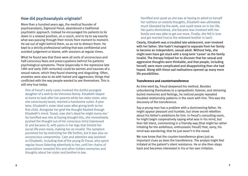## **How did psychoanalysis originate?**

More than a hundred years ago, the medical founder of psychoanalysis, Sigmund Freud, abandoned a traditional psychiatric approach. Instead he encouraged his patients to lie down in a relaxed position, on a couch, and to try to say exactly what was passing through their minds from moment to moment. He sat out of sight behind them, so as not to distract them. He kept to a strictly professional setting that was confidential and avoided judgement or blame, with sessions at regular times.

What he found was that there were all sorts of unconscious and half-conscious fears and preoccupations behind his patients psychological symptoms. These (especially in the repressive late 19th and early 20th centuries) could be worries and traumas of a sexual nature, which they found shaming and disgusting. Often, anxieties were also to do with hatred and aggression; things that conflicted with the way people wanted to see themselves. This is still very true today.

One of Freud's early cases involved the dutiful youngest daughter of a well-to-do Viennese family. Elisabeth stayed at home to look after her parents while her older sister, who she consciously loved, married a handsome suitor. A year later, Elisabeth's sister died soon after giving birth to her first child. Alongside her grief the thought flashed through Elisabeth's mind: 'Good, now she's dead he might marry me.' So horrified was she at having thought this, she immediately pushed the thought out of her conscious mind (repressed it) and became ill, with pains in her legs that limited her social life even more, making her an invalid. The symptom punished her by restricting her life further, but it was also an unconscious compromise. Care and attention was lavished on Elisabeth, including that of the young Dr Freud, who spent regular hours listening attentively to her, until her chains of associations revealed this and other hidden memories and thoughts about her sister and brother-in-law.

Horrified and upset as she was at having to admit to herself her ruthless un-sisterly thoughts, Elisabeth was ultimately much liberated by the work, and could move on in her life. Her pains diminished, she became less involved with her family and was able to get out more. Finally, she fell in love and got married (not to the widowed brother in law!).

Clearly, Elisabeth was a troubled late adolescent, over-involved with her father. She hadn't managed to separate from her family to become an independent, sexual adult. Without help, she might even have got stuck with a long-term 'career' as the family invalid. The therapy helped her to discover that her sexual and aggressive thoughts were thinkable, and that people, including herself, were more complicated and disappointing than she had hoped. Along with these sad realisations opened up many more life possibilities.

#### **Transference and countertransference**

As time went by, Freud deepened his method. Besides unburdening themselves to a sympathetic listener, and retrieving buried memories and feelings, he noticed people repeated troubled relationship patterns in the room with him. This was the discovery of the transference.

Say a young man has a problem with a domineering father. He might appear pleasant and humble, but show secret rebellion about his father's ambitions for him. In Freud's consulting room, he might begin cooperatively saying what was in his mind, but then fall silent, commenting in a friendly way (that might be rather irritating for the ambitious, enthusiastic Freud!) that, sorry, his mind was wandering; that he just wasn't in the mood.

We now know that the counter-transference gives just as important clues as does the transference. The analyst might feel irritated at the patient's silent resistance. He or she then steps back and becomes interested in his or her own irritation.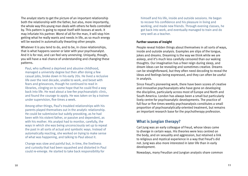The analyst starts to get the picture of an important relationship both the relationship with the father, but also, more importantly, the whole way this young man deals with others he feels controlled by. This pattern is going to repeat itself with bosses at work. It may infuriate his partner. Worst of all for the man, it will stop him getting what he really wants and needs in life, as so much energy will be wasted in automatically thwarting other people.

Whatever it is you tend to do, and to be, in close relationships, that is what happens sooner or later with your psychoanalyst. And it is for real, and can feel very unnerving. Uniquely, though, you will have a real chance of understanding and changing these patterns.

Paul, who suffered a deprived and abusive childhood, managed a university degree but then after doing a few casual jobs, broke down in his early 20s. He lived a reclusive life over the next decade, unable to work, and beset with fears and grievances, though he continued to read in libraries, clinging on to some hope that he could find a way back into life. He read about a low-fee psychoanalytic clinic, and found the courage to apply. He was taken on by a trainee under supervision, five times a week.

Among other things, Paul's troubled relationships with his parents played themselves out in the analytic relationship. He could be submissive but subtly provoking, as he had been with his violent father, or passive and dependent, as with his mother. His analyst had to monitor, carefully, the ways in which she was being unconsciously set up to repeat the past in all sorts of actual and symbolic ways. Instead of automatically reacting, she worked on trying to make sense of what was happening, and talking to Paul about it.

Change was slow and painful but, in time, the liveliness and curiosity that had been squashed and distorted in Paul could re-emerge. He started to take back responsibility for

himself and his life, inside and outside sessions. He began to recover his confidence and his pleasure in living and working, and made new friends. Through evening classes, he got back into work, and eventually managed to train and do very well as a teacher.

### **Further sources of insight**

People reveal hidden things about themselves in all sorts of ways, inside and outside analysis. Examples are slips of the tongue, jokes and dreams. Dreaming is the way we think while we are asleep, and it's much less carefully censored than our waking thoughts. Our imagination has a freer reign during sleep, and dream ideas can be revealing and sometimes creative. Dreams can be straightforward, but they often need decoding to reveal the ideas and feelings being expressed, and they can often be useful in analysis.

Since Freud's pioneering work, there have been scores of creative and innovative psychoanalysts who have gone on developing the discipline, particularly across most of Europe and North and South America. London has always been a small but particularly lively centre for psychoanalytic developments. The practice of full four or five times weekly psychoanalysis constitutes a small proportion of psychoanalytically-oriented treatment, but remains an important research base for the psychotherapy profession.

### **What is Jungian therapy?**

Carl Jung was an early colleague of Freud, whose ideas came to diverge in certain ways. His theories were less centred on the body, and on sexuality and aggression, but retained a link to religious and mystical experience in a way that Freud's did not. Jung was also more interested in later life than in early development.

Nowadays, many Freudian and Jungian analysts share common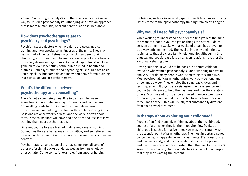ground. Some Jungian analysts and therapists work in a similar way to Freudian psychoanalysts. Other Jungians have an approach that is more humanistic, or client-centred, as described above.

### **How does psychotherapy relate to psychiatry and psychology?**

Psychiatrists are doctors who have done the usual medical training and now specialise in illnesses of the mind. They may partly think of mental distress in terms of disordered brain chemistry, and often prescribe medication. Psychologists have a university degree in psychology. A clinical psychologist will have gone on to do further study of the human mind in health and distress. Both psychiatrists and psychologists should have basic listening skills, but some do and many don't have formal training in a particular type of psychotherapy.

### **What's the difference between psychotherapy and counselling?**

There is not a completely clear line to be drawn between some forms of non-intensive psychotherapy and counselling. Counselling tends to focus more on immediate external difficulties and on helping the client with problem-solving skills. Sessions are once weekly or less, and the work is often shortterm. Most counsellors will have had a shorter and less intensive training than most psychotherapists.

Different counsellors are trained in different ways of working. Sometimes they are behavioural or cognitive, and sometimes they have a psychodynamic slant. Commonly, the emphasis is 'personcentred'.

Psychotherapists and counsellors may come from all sorts of other professional backgrounds, as well as from psychology or psychiatry. Some come, for example, from another helping profession, such as social work, special needs teaching or nursing. Others come to their psychotherapy training from an arts degree.

# **Why would I need full psychoanalysis?**

When working to understand and alter the fine grain of the mind, the more of a handle you can get on things the better. A daily session during the week, with a weekend break, has proven to be a very efficient method. The level of intensity and intimacy is similar to that of a close family relationship, although in this unusual and special case it is an uneven relationship rather than a mutually sharing one.

Having said this, it would not be possible or practicable for everyone who wanted psychoanalytic understanding to have full analysis. Nor do many people want something this intensive. Most psychoanalytic psychotherapists work between one and three times a week. They employ the same basic ideas and techniques as full psychoanalysis, using the transference and countertransference to help them understand how they relate to others. Much useful work can be achieved in once a week work over a year, or more, and if it's possible to work twice or even three times a week, this will usually feel substantially different from once a week treatment.

## **Is therapy about exploring your childhood?**

People often find themselves thinking about their childhood, sooner or later, when they let their thoughts flow freely, as childhood is such a formative time. However, that certainly isn't the essential point of psychotherapy. The most important issues concern what is happening now in your mental life, consciously and unconsciously, and in your relationships. So the present and the future are far more important than the past for the past's sake. However, often, childhood still has such a hold on people that they keep wasting the present.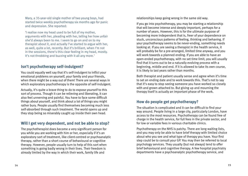Mary, a 35-year-old single mother of two young boys, had started twice weekly psychotherapy six months ago for panic and depression. She reported:

'I realise now my head used to be full of my mother, arguments with her, pleading with her, telling her how unfair she'd always been to me. I seem to go on and on to my therapist about it, and actually I've started to argue with her, as well, quite a lot, recently. But it's brilliant, when I'm not in the sessions, there's this clear feeling in my head, mostly. It's not throbbing and buzzing with it all any more.'

## **Isn't psychotherapy self-indulgent?**

You could equally well say that it's self-indulgent to inflict your emotional problems on yourself, your family and your friends, when there might be a way out of them! There are several ways in which exploratory psychotherapy is the opposite of self-indulgent.

Actually, it's quite a brave thing to do to expose yourself to this sort of process. Though it can be relieving and liberating, it can also feel unnerving and painful. You have to face some difficult things about yourself, and think about a lot of things you might rather bury. People usually find themselves becoming much less self-absorbed through such treatment. The world opens up and they stop being so miserably caught up inside their own head.

# **Will I get very dependent, and not be able to stop?**

The psychotherapist does become a very significant person for you while you are working with him or her, especially if it's an exploratory sort of treatment, like client-centred or psychoanalytic therapy, rather than a short course of behavioural or cognitive therapy. However, people usually turn to help of this sort when something is going badly wrong in their lives. Their freedom is already limited by the way in which their work, family life and

relationships keep going wrong in the same old way.

If you go into psychotherapy, you may be starting a relationship that will become intense and deeply important, perhaps for a number of years. However, this is for the ultimate purpose of becoming more independent that is, freer of your dependence on stuck, unconscious patterns of feeling, thinking and behaving. If your psychotherapy seems to be never-ending, something needs looking at. If you are seeing a therapist in the health service, it will probably be for a pre-arranged, limited time anyway, and you will work towards a planned ending. If you are able to have an open-ended psychotherapy, with no set time limit, you will usually find that it turns out to be a naturally evolving process with a beginning, middle and end. If it is allowed to take its own course, it is likely to last years rather than months.

Both therapist and patient usually sense and agree when it's time to set an ending date and to work towards this. That's not to say that it's easy to stop seeing someone you have worked so closely with and grown attached to. But giving up and mourning the therapy itself is actually an important phase of the work.

## **How do people get psychotherapy?**

The situation is complicated and it can be difficult to find your way around. People living in a large city, particularly London, have access to the most resources. Psychotherapy can be found free of charge in the health service, for full fees in the private sector, and for low or variable fees in various charitable clinics.

Psychotherapy on the NHS is patchy. There are long waiting lists, and you may only be able to have brief therapy with limited choice about who you see and what type of therapy you have. Your first step could be to consult your GP. You may then be referred to local psychology services. They usually (but not always) tend to offer brief behavioural and cognitive therapy. A few hospital psychiatry departments have a psychoanalytic psychotherapy service, and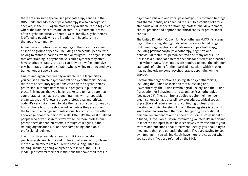there are also some specialised psychotherapy centres in the NHS. Child and adolescent psychotherapy is also a recognised specialty in the NHS, again more readily available in the big cities, where the training centres are located. This treatment is most often psychoanalytically oriented. Occasionally, psychotherapy is offered to people who are inpatients in hospital or in a therapeutic community.

A number of charities have set up psychotherapy clinics aimed at specific groups of people, including adolescents, people who belong to ethnic minorities, women or refugees. The organisations that offer training in psychoanalysis and psychotherapy often have charitable status, too, and can provide low-fee, intensive psychotherapy to anyone suitable who is willing to be treated by a trainee, under supervision.

Finally, and again most readily available in the larger cities, you can see a private psychoanalyst or psychotherapist. So far, there are no statutory regulations covering the psychotherapy profession, although hard work is in progress to put this in place. This means that you have to take care to make sure that your therapist has had a thorough training, with a reputable organisation, and follows a proper professional and ethical code. It's very risky indeed to take the name of a psychotherapist from a phone book or a shop window, unless they are under the banner of a recognised professional body or you have other knowledge about the person's skills. Often, it's the least qualified people who advertise in this way, while the more professional practitioners depend on referrals through colleagues in their training organisations, or on their name being found on a professional register.

The British Psychoanalytic Council (BPC) is a specialist psychoanalytic regulatory and professional association, whose individual members are required to have a long, intensive training, including being analysed themselves. The BPC is made up of several member institutions that have their roots in psychoanalysis and analytical psychology. This common heritage and shared identity has enabled the BPC to establish collective standards on all aspects of training, professional development, clinical practice and appropriate ethical codes for professional conduct.

The United Kingdom Council for Psychotherapy (UKCP) is a large psychotherapy registering body, which covers a broad range of different organisations and categories of psychotherapy, including psychoanalytic psychotherapy, cognitive and behavioural therapies, person-centred and many others. The UKCP has a number of different sections for different approaches to psychotherapy. All members are required to meet the minimum standards of training for their particular section, which may or may not include personal psychotherapy, depending on the approach.

Several other organisations also register psychotherapists, including the British Association for Counselling and Psychotherapy, the British Psychological Society, and the British Association for Behavioural and Cognitive Psychotherapies (see page 26). These umbrella bodies require their member organisations to have disciplinary procedures, ethical codes of practice and requirements for continuing professional development. Membership of one of these registers is a useful guide when looking for a therapist, but getting an additional personal recommendation to a therapist, from a professional or a friend, is invaluable. Before committing yourself, it's important to meet the therapist to see how sensitively they respond to your worries and questions about treatment. Ideally, you should try to meet more than one potential therapist. If you are paying for your own treatment, you will inevitably have more choice about who you see than if you are referred on the NHS.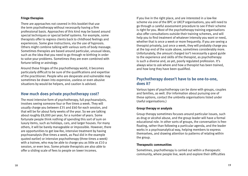#### **Fringe therapies**

There are approaches not covered in this booklet that use the term psychotherapy without necessarily having a firm professional basis. Approaches of this kind may be based around special techniques or special belief systems. For example, some therapists offer to regress clients back to childhood feelings and experiences. Some give instructions, via the use of hypnosis. Others might combine talking with various sorts of body massage. Sometimes therapies are based around particular, unusual ideas, such as the idea that you need to go through re-birthing in order to solve your problems. Sometimes they are even combined with fortune telling or astrology.

Around these fringes of the psychotherapy world, it becomes particularly difficult to be sure of the qualifications and expertise of the practitioner. People who are desperate and vulnerable may sometimes be drawn into expensive, useless or even abusive situations by would-be helpers, and caution is advised.

## **How much does private psychotherapy cost?**

The most intensive form of psychotherapy, full psychoanalysis, involves seeing someone four or five times a week. They will usually charge you between £35 and £60 for each session, and that will be for about forty weeks of the year. So we are talking about roughly £8,000 per year, for a number of years. Some fortunate people think nothing of spending this sort of sum on luxury items, such as holidays, cars, and larger houses. For many others, it will be barely manageable or impossible. However, there are opportunities to get low-fee, intensive treatment by having psychoanalysis (five times a week, as Paul did in the example quoted earlier) or intensive psychotherapy (three times a week) with a trainee, who may be able to charge you as little as £10 a session, or even less. Some private therapists are also able to offer a sliding scale of fees to people on lower incomes.

If you live in the right place, and are interested in a low-fee scheme via one of the BPC or UKCP organisations, you will need to go through a careful assessment procedure to see if their scheme is right for you. Most of the psychotherapy training organisations also offer consultations outside their training schemes, and will help you to find treatment of whatever intensity you want or need, whether that is once a week or more frequently. If you are seeing a therapist privately, just once a week, they will probably charge you at the top end of the scale above, sometimes considerably more. Unfortunately, the amount charged isn't necessarily a good guide to the experience and skills of the therapist, as psychotherapy is such a diverse and, as yet, poorly regulated profession. It's always wise to ask where and how a therapist has been trained, and how long they have been qualified.

## **Psychotherapy doesn't have to be one-to-one, does it?**

Various types of psychotherapy can be done with groups, couples and families, as well. (For information about pursuing one of these options, contact the umbrella organisations listed under Useful organisations.)

#### **Group therapy or analysis**

Group therapy sometimes focuses around particular issues, such as drug or alcohol abuse, and the group leader will have a formal educational role. In other sorts of groups, the conversation is freefloating, rather than following a particular agenda, and the leader works in a psychoanalytical way, helping members to express themselves, and drawing attention to patterns of relating within the group.

### **Therapeutic communities**

Sometimes, psychotherapy is carried out within a therapeutic community, where people live, work and explore their difficulties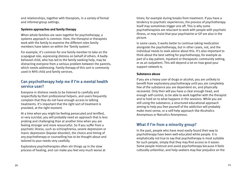and relationships, together with therapists, in a variety of formal and informal group settings.

#### **Systems approaches and family therapy**

When whole families are seen together for psychotherapy, a systems approach is common. Here, the therapist or therapists work with the family to examine the different roles family members have taken on within the 'family system'.

For example, it's common for one family member to take on the scapegoat role, expressing distress on behalf of others. A badly behaved child, who has led to the family seeking help, may be distracting everyone from a serious problem between the parents, which needs addressing. Family therapy of this sort is commonly used in NHS child and family services.

# **Can psychotherapy help me if I'm a mental health service user?**

Everyone in distress needs to be listened to carefully and respectfully by their professional helpers, and users frequently complain that they do not have enough access to talking treatments. It's important that the right sort of treatment is provided, at the right moment.

At a time when you might be feeling persecuted and terrified, or very suicidal, you will probably need an approach that is less probing and challenging than at another time when you are feeling stronger and more resourceful. So if you suffer from a psychotic illness, such as schizophrenia, severe depression or manic depression (bipolar disorder), the choice and timing of any psychotherapy or counselling has to be thought about and tailored to your needs very carefully.

Exploratory psychotherapies often stir things up in the slow process of healing, and can make you feel very much worse at times; for example during breaks from treatment. If you have a tendency to psychotic experiences, the process of psychotherapy itself may sometimes trigger one off. This is why some psychotherapists are reluctant to work with people with psychotic illness, or may insist that your psychiatrist or GP are also in the picture.

In some cases, it works better to continue taking medication alongside the psychotherapy, but in other cases, not, and the individual needs to seek advice about this. It's also important to think about the best setting for psychotherapy, for example as part of a day patient, inpatient or therapeutic community setting, or as an outpatient. This will depend a lot on how good your support network is.

### **Substance abuse**

If you are a heavy user of drugs or alcohol, you are unlikely to benefit from exploratory psychotherapy until you are completely free of the substance you are dependent on, and physically recovered. Only then will you have a clear enough head, and enough self-control, to be able to work together with the therapist and to hold on to what happens in the sessions. While you are still using the substance, a structured educational approach aiming to help you free yourself of the addiction will probably make most sense, or a self-help approach like Alcoholics Anonymous or Narcotics Anonymous.

# **What if I'm from a minority group?**

In the past, people who have most easily found their way to psychotherapy have been well-educated white people. It is emphatically not true to say that psychotherapy is most suitable for such people, simply that they may find access to it easier. Some people mistrust and avoid psychotherapy because it feels culturally unfamiliar, and help-seekers may fear prejudice on the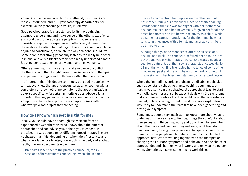grounds of their sexual orientation or ethnicity. Such fears are mostly unfounded, and NHS psychotherapy departments, for example, actively encourage diversity in referrals.

Good psychotherapy is characterised by its thoroughgoing attempt to understand and make sense of the other's experience, and good psychotherapists are people with openness and curiosity to explore the experience of others very different from themselves. It's also vital that psychotherapists should not blame or jump to conclusions, or dictate the way someone should live. Some people feel strongly that only lesbians can really help other lesbians, and only a Black therapist can really understand another Black person's experience, or a woman another woman's.

Others argue that this risks an artificial avoidance of conflict in the therapy, and that it might make more sense for both therapist and patient to struggle with difference within the therapy room.

It's important that this debate continues, but good therapists try to treat every new therapeutic encounter as an encounter with a completely unknown other person. Some therapy organisations do exist specifically for certain minority groups. Above all, it's important that any person with worries about being in a minority group has a chance to explore these complex issues with whatever psychotherapist they are seeing.

### **How do I know which sort is right for me?**

Ideally, you should have a thorough assessment from an experienced psychotherapist who knows about the different approaches and can advise you, or help you to choose. In practice, the way people reach different sorts of therapy is more haphazard than this, depending on whom they first talk to and what is available locally. Also, how much is needed, and at what depth, may only become clear over time.

Brenda's GP sent her to the practice counsellor, for six sessions of bereavement counselling, when she seemed unable to recover from her depression over the death of her mother, four years previously. Once she started talking, Brenda found that she was far angrier with her mother than she had realised, and had never really forgiven her for all the times her mother had left her with relatives as a child, while pursuing her career. It struck her, for the first time, how her long-term grievances with a female manager at work might be linked to this.

Although things made more sense after the six sessions, she still felt stuck. The counsellor referred her on to the local psychoanalytic psychotherapy service. She waited nearly a year for treatment, but then saw a therapist, once weekly, for 18 months, which finally enabled her to let go of some of her grievances, past and present, have some frank and helpful discussion with her boss, and start enjoying her work again.

Where the immediate, surface problem is a disabling behaviour, such as constantly checking things, washing your hands, or making yourself vomit, a behavioural approach, at least to start with, will make most sense, because it deals with the symptoms that are filling your whole life. This might be all that is wanted or needed, or later you might want to work in a more exploratory way, to try to understand the fears that have been generating and driving your symptom.

Sometimes, people very much want to know more about what is underneath. They can bear to find out things they don't like about themselves, and things that worry and upset them to remember about their lives and families. They welcome, or at least don't mind too much, having their private mental space shared by the therapist. Other people much prefer a more practical, limited approach, restricted to working together with the therapist on changing their surface symptoms and behaviour. So the choice of approach depends both on what is wrong and on what the person wants. Sometimes it takes some time to work this out.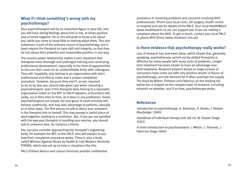# **What if I think something's wrong with my psychotherapy?**

Your psychotherapist will be an important figure in your life, and you will have strong feelings about him or her, at times positive and at times negative. He or she will grow to know a lot about you, while you come to know little or nothing about them. This onesidedness is part of the ordinary course of psychotherapy, but it does require the therapist to have skill and integrity, so that they do not abuse their powerful and responsible position in any way.

The uneven power relationship makes it very important that therapists have thorough and prolonged training and continuing professional development, especially in the form of opportunities to discuss their cases (in an unidentifiable form) with colleagues. They will, hopefully, also belong to an organisation with strict professional and ethical codes and a proper complaints procedure. However, because they aren't, as yet, required to do so by law, you should take great care when choosing a psychotherapist. Even if the therapist does belong to a reputable organisation listed on the BPC or UKCP registers, misconduct will, sadly, occur from time to time, as it does in any profession. Some psychotherapists are simply not very good. A small minority will behave unethically, and may take advantage of patients, sexually or in other ways. The first person to talk to about any complaint is the therapist him or herself. This may prompt a useful piece of work together, leading to a resolution. But, if you are not satisfied with the way your therapist is handling your worries, you should talk to someone else, for instance a friend.

You can also consider approaching the therapist's registering body, for example the BPC or the UKCP, who will explain to you how their complaints procedure works. There is also a body called Witness Against Abuse by Health & Care Workers (formerly POPAN), which was set up to help in situations like this.

PALS (Patient Advice and Liaison Services) provide confidential

assistance in resolving problems and concerns involving NHS professionals. Phone your local clinic, GP surgery, health centre or hospital and ask for details of the PALS. Your local HealthWatch (www.healthwatch.co.uk) can support you if you are making a complaint about the NHS. To get in touch, contact your local PALS or phone NHS Direct (www.nhsdirect.nhs.uk).

# **Is there evidence that psychotherapy really works?**

Lots of research has now been done, which shows that, generally speaking, psychotherapy carried out by skilled therapists is effective for many people with many sorts of problems. Longerterm treatment has been shown to have an advantage over brief treatment. Research projects based on large surveys of consumers have come out with very positive results in favour of psychotherapy, and the demand for it often outstrips the supply. The book by Milton, Polmear and Fabricius on the reading list below has a chapter on the complex topic of research, including research on whether, and if so how, psychotherapy works.

### **References**

Introduction to psychotherapy A. Bateman, D. Brown, J. Pedder (Routledge. 2000)

Handbook of individual therapy (4th ed) ed. W. Dryden (Sage 2002)

A short introduction to psychoanalysis J. Milton, C. Polmear, J. Fabricius (Sage 2004)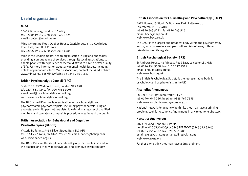# **Useful organisations**

#### **Mind**

15–19 Broadway, London E15 4BQ tel. 020 8519 2122, fax 020 8522 1725 email: contact@mind.org.uk

Mind Cymru: 3rd Floor, Quebec House, Castlebridge, 5–19 Cowbridge Road East, Cardiff CF11 9AB tel. 029 2039 5123, fax 029 2034 6585

Mind is the leading mental health organisation in England and Wales, providing a unique range of services through its local associations, to enable people with experience of mental distress to have a better quality of life. For more information about any mental health issues, including details of your nearest local Mind association, contact the Mind website: www.mind.org.uk or MindinfoLine on 0845 766 0163.

### **British Psychoanalytic Council (BPC)**

Suite 7, 19-23 Wedmore Street, London N19 4RU tel. 020 7561 9240, fax: 020 7561 9005 email: mail@psychoanalytic-council.org web: www.psychoanalytic-council.org

The BPC is the UK umbrella organisation for psychoanalytic and psychodynamic psychotherapists, including psychoanalysts, Jungian analysts, and child psychotherapists. It maintains a register of qualified members and operates a complaints procedure to safeguard the public.

### **British Association for Behavioural and Cognitive Psychotherapies (BABCP)**

Victoria Buildings, 9–13 Silver Street, Bury BL9 0EU tel. 0161 797 4484, fax 0161 797 2670, email: babcp@babcp.com web: www.babcp.org.uk

The BABCP is a multi-disciplinary interest group for people involved in the practice and theory of behavioural and cognitive psychotherapy.

#### **British Association for Counselling and Psychotherapy (BACP)**

BACP House, 15 St John's Business Park, Lutterworth, Leicestershire LE17 4HB tel. 0870 443 5252 , fax 0870 443 5161 email: bacp@bacp.co.uk web: www.bacp.co.uk

The BACP is the largest and broadest body within the psychotherapy sector, with counsellors and psychotherapists of many different orientations on its register.

### **British Psychological Society (BPS)**

St Andrews House, 48 Princess Road East, Leicester LE1 7DR tel. 0116 254 9568, fax: 0116 227 1314 email: enquiry@bps.org.uk web: www.bps.org.uk

The British Psychological Society is the representative body for psychology and psychologists in the UK.

#### **Alcoholics Anonymous**

PO Box 1, 10 Toft Green, York YO1 7NJ tel. 01904 644 026, helpline: 0845 769 7555 web: www.alcoholics-anonymous.org.uk

National network for anyone who thinks they may have a drinking problem. Look for Alcoholics Anonymous in any telephone directory.

#### **Narcotics Anonymous**

202 City Road, London EC1V 2PH helpline: 020 7730 0009 or 0845 FREEDOM (0845 373 3366) tel. 020 7251 4007, fax: 020 7251 4006 email: ukso@ukna.org or nahelpline@ukna.org web: www.ukna.org

For those who think they may have a drug problem.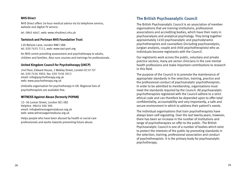#### **NHS Direct**

NHS Direct offers 24-hour medical advice via its telephone service, website and digital TV service.

tel. 0845 4647, web: www.nhsdirect.nhs.uk

#### **Tavistock and Portman NHS Foundation Trust**

120 Belsize Lane, London NW3 5BA tel. 020 7435 7111, web: www.tavi-port.org

An NHS centre providing assessment and psychotherapy to adults, children and families. Also runs courses and trainings for professionals.

#### **United Kingdom Council for Psychotherapy (UKCP)**

2nd Floor, Edward House, 2 Wakley Street, London EC1V 7LT tel. 020 7436 3002, fax: 020 7436 3013 email: info@psychotherapy.org.uk web: www.psychotherapy.org.uk

Umbrella organisation for psychotherapy in UK. Regional lists of psychotherapists are available free.

#### **WITNESS Against Abuse (formerly POPAN)**

32–36 Loman Street, London SE1 0EE Helpline 08454 500 300 email: info@witnessagainstabuse.org.uk web: www.witnessagainstabuse.org.uk

Helps people who have been abused by health or social care professionals and works towards preventing future abuse.

## **The British Psychoanalytic Council**

The British Psychoanalytic Council is an association of member organisations that are training institutions, professional associations and accrediting bodies, which have their roots in psychoanalysis and analytical psychology. They bring together approximately 1450 psychoanalytic and psychodynamic psychotherapists and counsellors (including psychoanalysts, Jungian analysts, couple and child psychotherapists) who as individuals become registrants with the Council.

Our registrants work across the public, voluntary and private practice sectors; many are senior clinicians in the core mental health professions and make important contributions to research in this field.

The purpose of the Council is to promote the maintenance of appropriate standards in the selection, training, practice and the professional conduct of psychoanalytic psychotherapists. In order to be admitted to membership, organisations must meet the standards required by the Council. All psychoanalytic psychotherapists registered with the Council adhere to a strict ethical code and can therefore be depended upon to offer total confidentiality, accountability and very importantly, a safe and secure environment in which to address their patient's needs.

The individual organisations that train psychotherapists have always been self-regulating. Over the last twenty years, however, there has been an increase in the number of institutions and range of psychotherapies on offer to the public. The British Psychoanalytic Council is one of a number of bodies which exist to protect the interests of the public by promoting standards in the selection, training, professional association and conduct of psychotherapists. It is the primary body for psychoanalytic psychotherapy.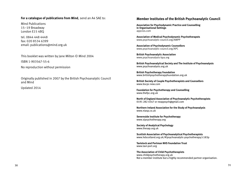#### **For a catalogue of publications from Mind**, send an A4 SAE to:

Mind Publications 15–19 Broadway London E15 4BQ

tel. 0844 448 4448 fax: 020 8534 6399 email: publications@mind.org.uk

This booklet was written by Jane Milton © Mind 2004 ISBN 1-903567-55-6

No reproduction without permission

Originally published in 2007 by the British Psychoanalytic Council and Mind

Updated 2014

#### **Member Institutes of the British Psychoanalytic Council**

**Association for Psychodynamic Practice and Counselling in Organisational Settings** appcios.com

**Association of Medical Psychodynamic Psychotherapsts** www.psychoanalytic-council.org/AMPP

**Association of Psychodynamic Counsellors** www.psychoanalytic-council.org/APC

**British Psychoanalytic Association** www.psychoanalysis-bpa.org

**British Psychoanalytical Society and The Institute of Psychoanalysis** www.psychoanalysis.org.uk

**British Psychotherapy Foundation** www.britishpsychotherapyfoundation.org.uk

**British Society of Couple Psychotherapists and Counsellors** www.bscpc-new.com

**Foundation for Psychotherapy and Counselling** www.thefpc.org.uk

**North of England Association of Psychoanalytic Psychotherapists** 0191 282 4547 or neappsych@gmail.com

**Northern Ireland Association for the Study of Psychoanalysis** www.niasp.co.uk

**Severnside Institute for Psychotherapy** www.sipsychotherapy.org

**Society of Analytical Psychology** www.thesap.org.uk

**Scottish Association of Psychoanalytical Psychotherapists** www.hdscotland.org.uk/#!psychoanalytic-psychotherapy/c183p

**Tavistock and Portman NHS Foundation Trust** www.tavi-port.org

**The Association of Child Psychotherapists** www.childpsychotherapy.org.uk Not a member institute but a highly recommended partner organisation.